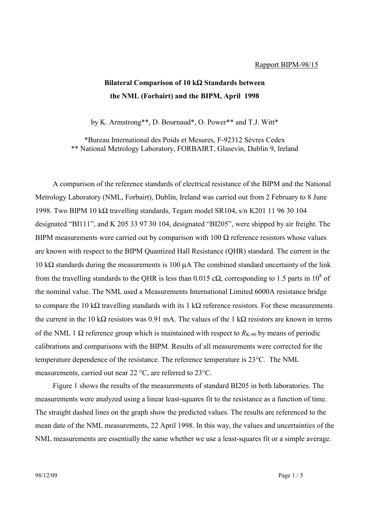## Rapport BIPM-98/15

## **Bilateral Comparison of 10 k**Ω **Standards between the NML (Forbairt) and the BIPM, April 1998**

by K. Armstrong\*\*, D. Bournaud\*, O. Power\*\* and T.J. Witt\*

\*Bureau International des Poids et Mesures, F-92312 Sèvres Cedex \*\* National Metrology Laboratory, FORBAIRT, Glasevin, Dublin 9, Ireland

A comparison of the reference standards of electrical resistance of the BIPM and the National Metrology Laboratory (NML, Forbairt), Dublin, Ireland was carried out from 2 February to 8 June 1998. Two BIPM 10 kΩ travelling standards, Tegam model SR104, s/n K201 11 96 30 104 designated "BI111", and K 205 33 97 30 104, designated "BI205", were shipped by air freight. The BIPM measurements were carried out by comparison with  $100 \Omega$  reference resistors whose values are known with respect to the BIPM Quantized Hall Resistance (QHR) standard. The current in the 10 kΩ standards during the measurements is 100  $\mu$ A The combined standard uncertainty of the link from the travelling standards to the QHR is less than 0.015 c $\Omega$ , corresponding to 1.5 parts in 10<sup>8</sup> of the nominal value. The NML used a Measurements International Limited 6000A resistance bridge to compare the 10 kΩ travelling standards with its 1 kΩ reference resistors. For these measurements the current in the 10 kΩ resistors was 0.91 mA. The values of the 1 kΩ resistors are known in terms of the NML 1  $\Omega$  reference group which is maintained with respect to  $R_{K-90}$  by means of periodic calibrations and comparisons with the BIPM. Results of all measurements were corrected for the temperature dependence of the resistance. The reference temperature is 23°C. The NML measurements, carried out near 22 °C, are referred to 23°C.

Figure 1 shows the results of the measurements of standard BI205 in both laboratories. The measurements were analyzed using a linear least-squares fit to the resistance as a function of time. The straight dashed lines on the graph show the predicted values. The results are referenced to the mean date of the NML measurements, 22 April 1998. In this way, the values and uncertainties of the NML measurements are essentially the same whether we use a least-squares fit or a simple average.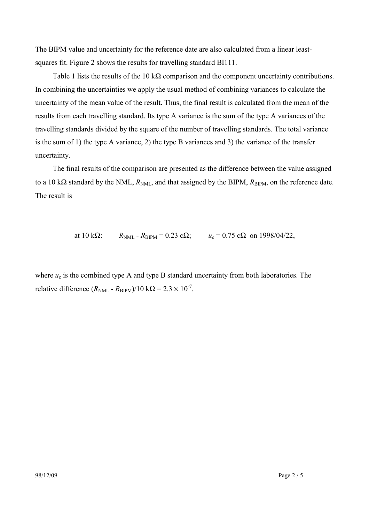The BIPM value and uncertainty for the reference date are also calculated from a linear leastsquares fit. Figure 2 shows the results for travelling standard BI111.

Table 1 lists the results of the 10 k $\Omega$  comparison and the component uncertainty contributions. In combining the uncertainties we apply the usual method of combining variances to calculate the uncertainty of the mean value of the result. Thus, the final result is calculated from the mean of the results from each travelling standard. Its type A variance is the sum of the type A variances of the travelling standards divided by the square of the number of travelling standards. The total variance is the sum of 1) the type A variance, 2) the type B variances and 3) the variance of the transfer uncertainty.

The final results of the comparison are presented as the difference between the value assigned to a 10 kΩ standard by the NML,  $R_{NML}$ , and that assigned by the BIPM,  $R_{BIPM}$ , on the reference date. The result is

at 10 kΩ:  $R_{\text{NML}} - R_{\text{BIPM}} = 0.23 \text{ c}\Omega$ ;  $u_c = 0.75 \text{ c}\Omega$  on 1998/04/22,

where  $u_c$  is the combined type A and type B standard uncertainty from both laboratories. The relative difference  $(R_{NMI} - R_{BIPM})/10 \text{ k}\Omega = 2.3 \times 10^{-7}$ .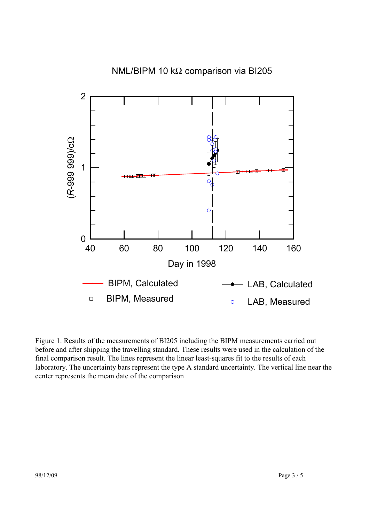

Figure 1. Results of the measurements of BI205 including the BIPM measurements carried out before and after shipping the travelling standard. These results were used in the calculation of the final comparison result. The lines represent the linear least-squares fit to the results of each laboratory. The uncertainty bars represent the type A standard uncertainty. The vertical line near the center represents the mean date of the comparison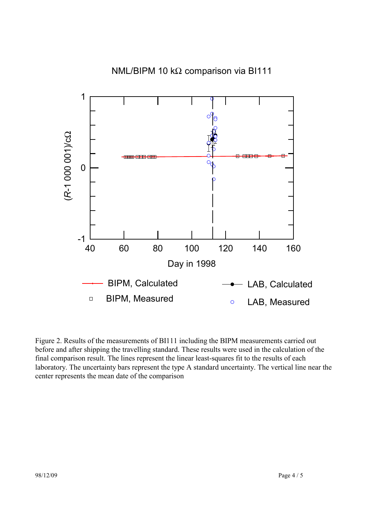

Figure 2. Results of the measurements of BI111 including the BIPM measurements carried out before and after shipping the travelling standard. These results were used in the calculation of the final comparison result. The lines represent the linear least-squares fit to the results of each laboratory. The uncertainty bars represent the type A standard uncertainty. The vertical line near the center represents the mean date of the comparison